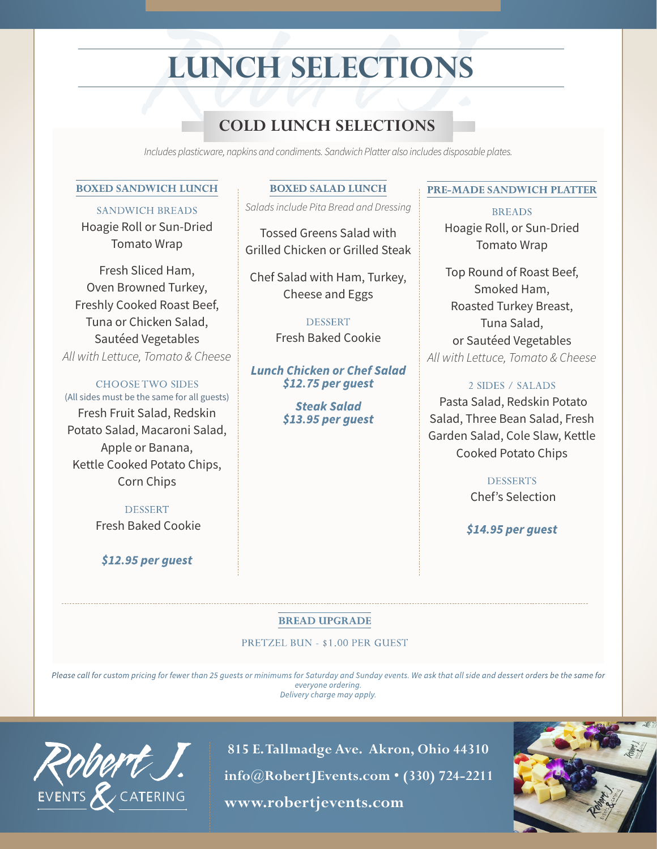# **LUNCH SELECTIONS**

# COLD LUNCH SELECTIONS<br>
Cludes plasticware, napkins and condiments. Sandwich Platter also includes disposal<br>
VICH LUNCH<br>
BOXED SALAD LUNCH<br>
PRE-MAD **COLD LUNCH SELECTIONS**

*Includes plasticware, napkins and condiments. Sandwich Platter also includes disposable plates.*

### **BOXED SANDWICH LUNCH**

SANDWICH BREADS Hoagie Roll or Sun-Dried Tomato Wrap

Fresh Sliced Ham, Oven Browned Turkey, Freshly Cooked Roast Beef, Tuna or Chicken Salad, Sautéed Vegetables *All with Lettuce, Tomato & Cheese*

CHOOSE TWO SIDES (All sides must be the same for all guests) Fresh Fruit Salad, Redskin Potato Salad, Macaroni Salad, Apple or Banana, Kettle Cooked Potato Chips, Corn Chips

> DESSERT Fresh Baked Cookie

### *\$12.95 per guest*

#### **BOXED SALAD LUNCH**

*Salads include Pita Bread and Dressing* 

Tossed Greens Salad with Grilled Chicken or Grilled Steak

Chef Salad with Ham, Turkey, Cheese and Eggs

> DESSERT Fresh Baked Cookie

*Lunch Chicken or Chef Salad \$12.75 per guest* 

> *Steak Salad \$13.95 per guest*

#### **PRE-MADE SANDWICH PLATTER**

BREADS Hoagie Roll, or Sun-Dried Tomato Wrap

Top Round of Roast Beef, Smoked Ham, Roasted Turkey Breast, Tuna Salad, or Sautéed Vegetables *All with Lettuce, Tomato & Cheese*

### 2 SIDES / SALADS

Pasta Salad, Redskin Potato Salad, Three Bean Salad, Fresh Garden Salad, Cole Slaw, Kettle Cooked Potato Chips

> **DESSERTS** Chef's Selection

*\$14.95 per guest*

### **BREAD UPGRADE**

#### PRETZEL BUN - \$1.00 PER GUEST

*Please call for custom pricing for fewer than 25 guests or minimums for Saturday and Sunday events. We ask that all side and dessert orders be the same for everyone ordering. Delivery charge may apply.*



 **815 E. Tallmadge Ave. Akron, Ohio 44310 info@RobertJEvents.com • (330) 724-2211** EVENTS & CATERING **www.robertjevents.com**

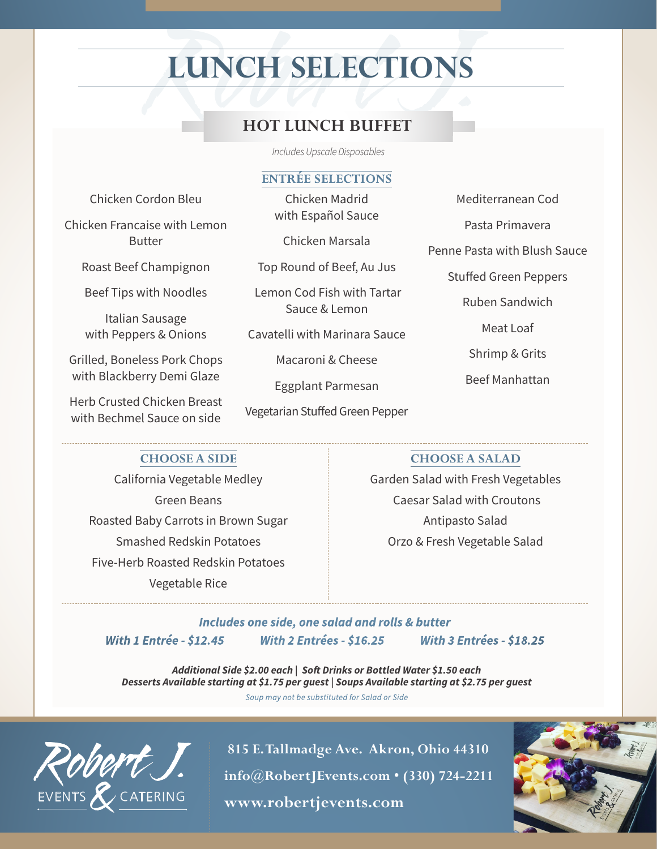# **LUNCH SELECTIONS**

# HOT LUNCH BUFFET **HOT LUNCH BUFFET**

*Includes Upscale Disposables*

### **ENTRÉE SELECTIONS**

Chicken Cordon Bleu

Chicken Francaise with Lemon Butter

Roast Beef Champignon

Beef Tips with Noodles

Italian Sausage with Peppers & Onions

Grilled, Boneless Pork Chops with Blackberry Demi Glaze

Herb Crusted Chicken Breast with Bechmel Sauce on side

Chicken Madrid with Español Sauce

Chicken Marsala

Top Round of Beef, Au Jus

 Lemon Cod Fish with Tartar Sauce & Lemon

Cavatelli with Marinara Sauce

Macaroni & Cheese

Eggplant Parmesan

Vegetarian Stuffed Green Pepper

Mediterranean Cod

Pasta Primavera

Penne Pasta with Blush Sauce

Stuffed Green Peppers

Ruben Sandwich

Meat Loaf

Shrimp & Grits

Beef Manhattan

## **CHOOSE A SIDE**

California Vegetable Medley Green Beans Roasted Baby Carrots in Brown Sugar Smashed Redskin Potatoes Five-Herb Roasted Redskin Potatoes Vegetable Rice

**CHOOSE A SALAD**

Garden Salad with Fresh Vegetables Caesar Salad with Croutons Antipasto Salad Orzo & Fresh Vegetable Salad

*Includes one side, one salad and rolls & butter With 1 Entrée - \$12.45 With 2 Entrées - \$16.25 With 3 Entrées - \$18.25*

*Additional Side \$2.00 each | Soft Drinks or Bottled Water \$1.50 each Desserts Available starting at \$1.75 per guest | Soups Available starting at \$2.75 per guest*

*Soup may not be substituted for Salad or Side*



 **815 E. Tallmadge Ave. Akron, Ohio 44310 info@RobertJEvents.com • (330) 724-2211** EVENTS & CATERING **www.robertjevents.com**